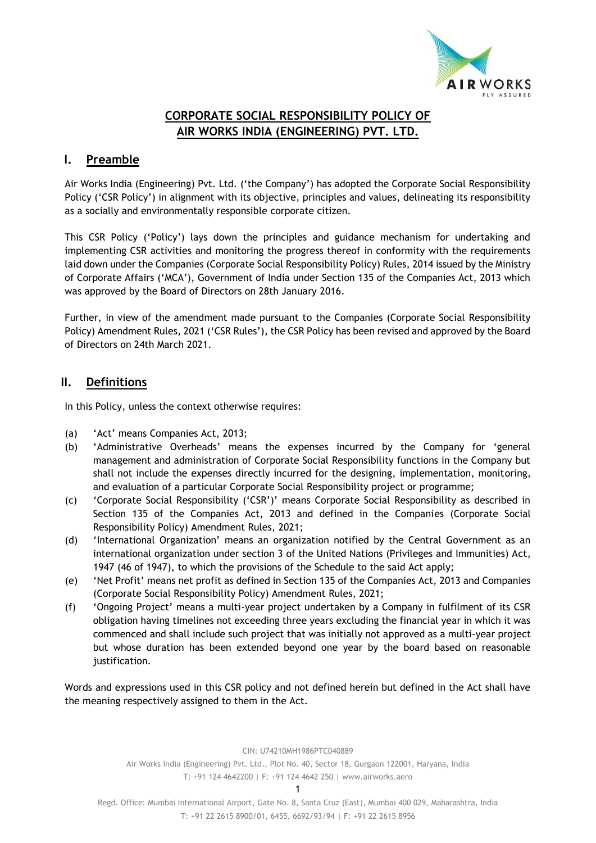

# **CORPORATE SOCIAL RESPONSIBILITY POLICY OF AIR WORKS INDIA (ENGINEERING) PVT. LTD.**

## **I. Preamble**

Air Works India (Engineering) Pvt. Ltd. ('the Company') has adopted the Corporate Social Responsibility Policy ('CSR Policy') in alignment with its objective, principles and values, delineating its responsibility as a socially and environmentally responsible corporate citizen.

This CSR Policy ('Policy') lays down the principles and guidance mechanism for undertaking and implementing CSR activities and monitoring the progress thereof in conformity with the requirements laid down under the Companies (Corporate Social Responsibility Policy) Rules, 2014 issued by the Ministry of Corporate Affairs ('MCA'), Government of India under Section 135 of the Companies Act, 2013 which was approved by the Board of Directors on 28th January 2016.

Further, in view of the amendment made pursuant to the Companies (Corporate Social Responsibility Policy) Amendment Rules, 2021 ('CSR Rules'), the CSR Policy has been revised and approved by the Board of Directors on 24th March 2021.

## **II. Definitions**

In this Policy, unless the context otherwise requires:

- (a) 'Act' means Companies Act, 2013;
- (b) 'Administrative Overheads' means the expenses incurred by the Company for 'general management and administration of Corporate Social Responsibility functions in the Company but shall not include the expenses directly incurred for the designing, implementation, monitoring, and evaluation of a particular Corporate Social Responsibility project or programme;
- (c) 'Corporate Social Responsibility ('CSR')' means Corporate Social Responsibility as described in Section 135 of the Companies Act, 2013 and defined in the Companies (Corporate Social Responsibility Policy) Amendment Rules, 2021;
- (d) 'International Organization' means an organization notified by the Central Government as an international organization under section 3 of the United Nations (Privileges and Immunities) Act, 1947 (46 of 1947), to which the provisions of the Schedule to the said Act apply;
- (e) 'Net Profit' means net profit as defined in Section 135 of the Companies Act, 2013 and Companies (Corporate Social Responsibility Policy) Amendment Rules, 2021;
- (f) 'Ongoing Project' means a multi-year project undertaken by a Company in fulfilment of its CSR obligation having timelines not exceeding three years excluding the financial year in which it was commenced and shall include such project that was initially not approved as a multi-year project but whose duration has been extended beyond one year by the board based on reasonable justification.

Words and expressions used in this CSR policy and not defined herein but defined in the Act shall have the meaning respectively assigned to them in the Act.

CIN: U74210MH1986PTC040889

Air Works India (Engineering) Pvt. Ltd., Plot No. 40, Sector 18, Gurgaon 122001, Haryana, India T: +91 124 4642200 | F: +91 124 4642 250 | [www.airworks.aero](http://www.airworks.aero/)

1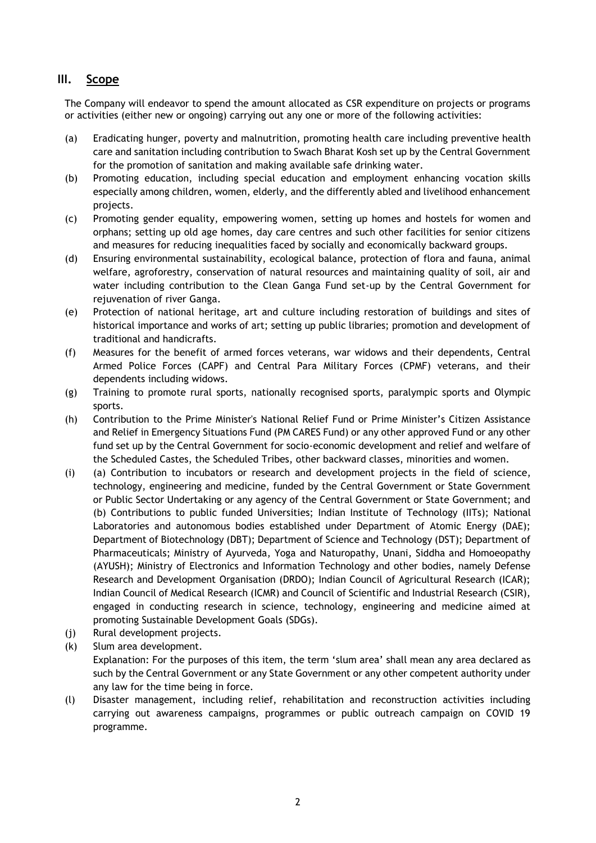# **III. Scope**

The Company will endeavor to spend the amount allocated as CSR expenditure on projects or programs or activities (either new or ongoing) carrying out any one or more of the following activities:

- (a) Eradicating hunger, poverty and malnutrition, promoting health care including preventive health care and sanitation including contribution to Swach Bharat Kosh set up by the Central Government for the promotion of sanitation and making available safe drinking water.
- (b) Promoting education, including special education and employment enhancing vocation skills especially among children, women, elderly, and the differently abled and livelihood enhancement projects.
- (c) Promoting gender equality, empowering women, setting up homes and hostels for women and orphans; setting up old age homes, day care centres and such other facilities for senior citizens and measures for reducing inequalities faced by socially and economically backward groups.
- (d) Ensuring environmental sustainability, ecological balance, protection of flora and fauna, animal welfare, agroforestry, conservation of natural resources and maintaining quality of soil, air and water including contribution to the Clean Ganga Fund set-up by the Central Government for rejuvenation of river Ganga.
- (e) Protection of national heritage, art and culture including restoration of buildings and sites of historical importance and works of art; setting up public libraries; promotion and development of traditional and handicrafts.
- (f) Measures for the benefit of armed forces veterans, war widows and their dependents, Central Armed Police Forces (CAPF) and Central Para Military Forces (CPMF) veterans, and their dependents including widows.
- (g) Training to promote rural sports, nationally recognised sports, paralympic sports and Olympic sports.
- (h) Contribution to the Prime Minister's National Relief Fund or Prime Minister's Citizen Assistance and Relief in Emergency Situations Fund (PM CARES Fund) or any other approved Fund or any other fund set up by the Central Government for socio-economic development and relief and welfare of the Scheduled Castes, the Scheduled Tribes, other backward classes, minorities and women.
- (i) (a) Contribution to incubators or research and development projects in the field of science, technology, engineering and medicine, funded by the Central Government or State Government or Public Sector Undertaking or any agency of the Central Government or State Government; and (b) Contributions to public funded Universities; Indian Institute of Technology (IITs); National Laboratories and autonomous bodies established under Department of Atomic Energy (DAE); Department of Biotechnology (DBT); Department of Science and Technology (DST); Department of Pharmaceuticals; Ministry of Ayurveda, Yoga and Naturopathy, Unani, Siddha and Homoeopathy (AYUSH); Ministry of Electronics and Information Technology and other bodies, namely Defense Research and Development Organisation (DRDO); Indian Council of Agricultural Research (ICAR); Indian Council of Medical Research (ICMR) and Council of Scientific and Industrial Research (CSIR), engaged in conducting research in science, technology, engineering and medicine aimed at promoting Sustainable Development Goals (SDGs).
- (j) Rural development projects.
- (k) Slum area development. Explanation: For the purposes of this item, the term 'slum area' shall mean any area declared as such by the Central Government or any State Government or any other competent authority under any law for the time being in force.
- (l) Disaster management, including relief, rehabilitation and reconstruction activities including carrying out awareness campaigns, programmes or public outreach campaign on COVID 19 programme.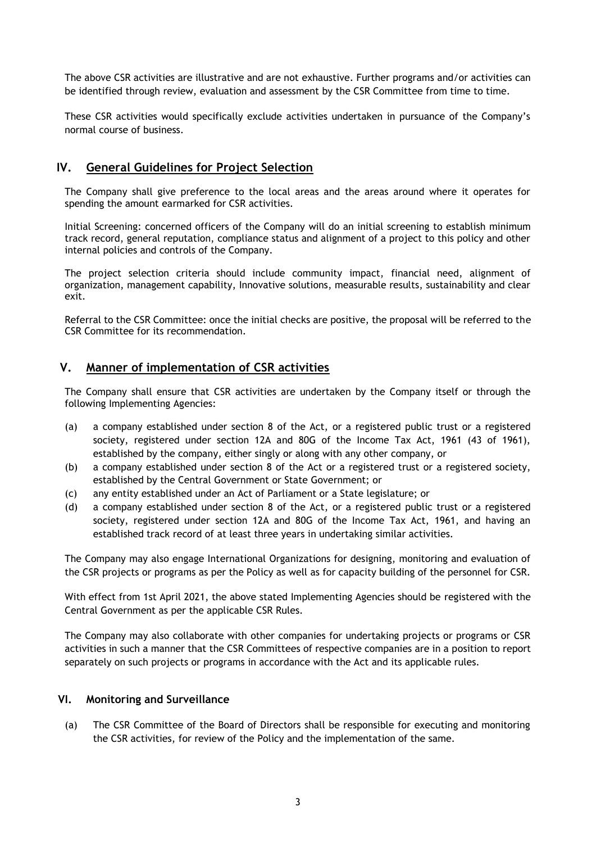The above CSR activities are illustrative and are not exhaustive. Further programs and/or activities can be identified through review, evaluation and assessment by the CSR Committee from time to time.

These CSR activities would specifically exclude activities undertaken in pursuance of the Company's normal course of business.

## **IV. General Guidelines for Project Selection**

The Company shall give preference to the local areas and the areas around where it operates for spending the amount earmarked for CSR activities.

Initial Screening: concerned officers of the Company will do an initial screening to establish minimum track record, general reputation, compliance status and alignment of a project to this policy and other internal policies and controls of the Company.

The project selection criteria should include community impact, financial need, alignment of organization, management capability, Innovative solutions, measurable results, sustainability and clear exit.

Referral to the CSR Committee: once the initial checks are positive, the proposal will be referred to the CSR Committee for its recommendation.

### **V. Manner of implementation of CSR activities**

The Company shall ensure that CSR activities are undertaken by the Company itself or through the following Implementing Agencies:

- (a) a company established under section 8 of the Act, or a registered public trust or a registered society, registered under section 12A and 80G of the Income Tax Act, 1961 (43 of 1961), established by the company, either singly or along with any other company, or
- (b) a company established under section 8 of the Act or a registered trust or a registered society, established by the Central Government or State Government; or
- (c) any entity established under an Act of Parliament or a State legislature; or
- (d) a company established under section 8 of the Act, or a registered public trust or a registered society, registered under section 12A and 80G of the Income Tax Act, 1961, and having an established track record of at least three years in undertaking similar activities.

The Company may also engage International Organizations for designing, monitoring and evaluation of the CSR projects or programs as per the Policy as well as for capacity building of the personnel for CSR.

With effect from 1st April 2021, the above stated Implementing Agencies should be registered with the Central Government as per the applicable CSR Rules.

The Company may also collaborate with other companies for undertaking projects or programs or CSR activities in such a manner that the CSR Committees of respective companies are in a position to report separately on such projects or programs in accordance with the Act and its applicable rules.

#### **VI. Monitoring and Surveillance**

(a) The CSR Committee of the Board of Directors shall be responsible for executing and monitoring the CSR activities, for review of the Policy and the implementation of the same.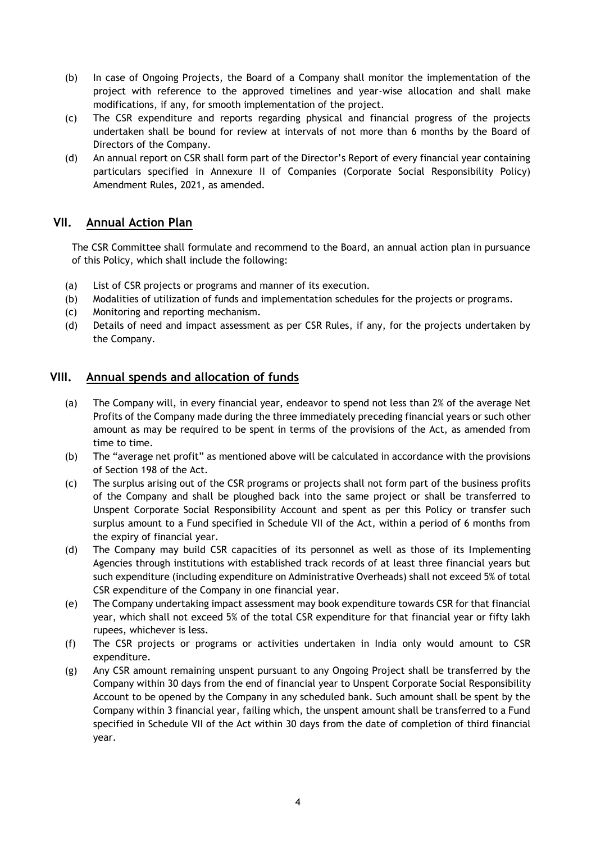- (b) In case of Ongoing Projects, the Board of a Company shall monitor the implementation of the project with reference to the approved timelines and year-wise allocation and shall make modifications, if any, for smooth implementation of the project.
- (c) The CSR expenditure and reports regarding physical and financial progress of the projects undertaken shall be bound for review at intervals of not more than 6 months by the Board of Directors of the Company.
- (d) An annual report on CSR shall form part of the Director's Report of every financial year containing particulars specified in Annexure II of Companies (Corporate Social Responsibility Policy) Amendment Rules, 2021, as amended.

## **VII. Annual Action Plan**

The CSR Committee shall formulate and recommend to the Board, an annual action plan in pursuance of this Policy, which shall include the following:

- (a) List of CSR projects or programs and manner of its execution.
- (b) Modalities of utilization of funds and implementation schedules for the projects or programs.
- (c) Monitoring and reporting mechanism.
- (d) Details of need and impact assessment as per CSR Rules, if any, for the projects undertaken by the Company.

### **VIII. Annual spends and allocation of funds**

- (a) The Company will, in every financial year, endeavor to spend not less than 2% of the average Net Profits of the Company made during the three immediately preceding financial years or such other amount as may be required to be spent in terms of the provisions of the Act, as amended from time to time.
- (b) The "average net profit" as mentioned above will be calculated in accordance with the provisions of Section 198 of the Act.
- (c) The surplus arising out of the CSR programs or projects shall not form part of the business profits of the Company and shall be ploughed back into the same project or shall be transferred to Unspent Corporate Social Responsibility Account and spent as per this Policy or transfer such surplus amount to a Fund specified in Schedule VII of the Act, within a period of 6 months from the expiry of financial year.
- (d) The Company may build CSR capacities of its personnel as well as those of its Implementing Agencies through institutions with established track records of at least three financial years but such expenditure (including expenditure on Administrative Overheads) shall not exceed 5% of total CSR expenditure of the Company in one financial year.
- (e) The Company undertaking impact assessment may book expenditure towards CSR for that financial year, which shall not exceed 5% of the total CSR expenditure for that financial year or fifty lakh rupees, whichever is less.
- (f) The CSR projects or programs or activities undertaken in India only would amount to CSR expenditure.
- (g) Any CSR amount remaining unspent pursuant to any Ongoing Project shall be transferred by the Company within 30 days from the end of financial year to Unspent Corporate Social Responsibility Account to be opened by the Company in any scheduled bank. Such amount shall be spent by the Company within 3 financial year, failing which, the unspent amount shall be transferred to a Fund specified in Schedule VII of the Act within 30 days from the date of completion of third financial year.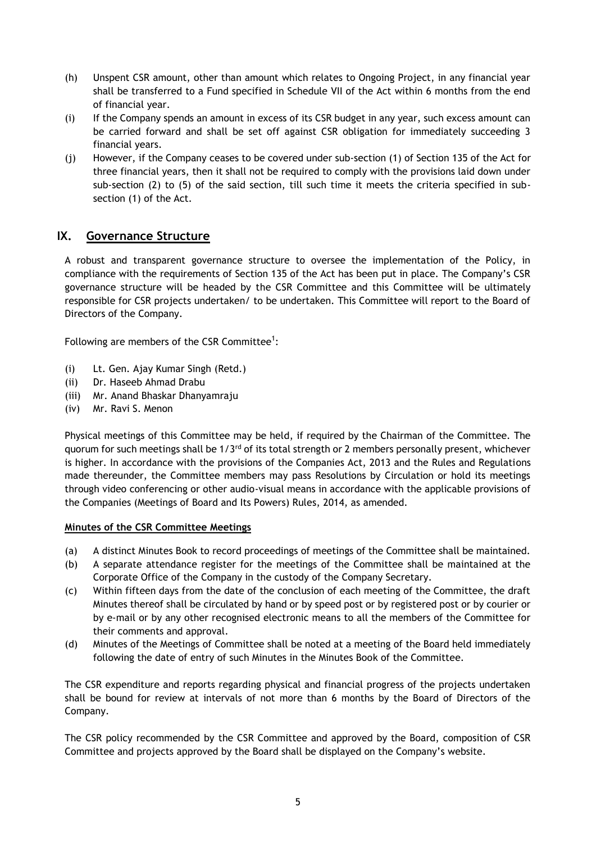- (h) Unspent CSR amount, other than amount which relates to Ongoing Project, in any financial year shall be transferred to a Fund specified in Schedule VII of the Act within 6 months from the end of financial year.
- (i) If the Company spends an amount in excess of its CSR budget in any year, such excess amount can be carried forward and shall be set off against CSR obligation for immediately succeeding 3 financial years.
- (j) However, if the Company ceases to be covered under sub-section (1) of Section 135 of the Act for three financial years, then it shall not be required to comply with the provisions laid down under sub-section (2) to (5) of the said section, till such time it meets the criteria specified in subsection (1) of the Act.

# **IX. Governance Structure**

A robust and transparent governance structure to oversee the implementation of the Policy, in compliance with the requirements of Section 135 of the Act has been put in place. The Company's CSR governance structure will be headed by the CSR Committee and this Committee will be ultimately responsible for CSR projects undertaken/ to be undertaken. This Committee will report to the Board of Directors of the Company.

Following are members of the CSR Committee<sup>1</sup>:

- (i) Lt. Gen. Ajay Kumar Singh (Retd.)
- (ii) Dr. Haseeb Ahmad Drabu
- (iii) Mr. Anand Bhaskar Dhanyamraju
- (iv) Mr. Ravi S. Menon

Physical meetings of this Committee may be held, if required by the Chairman of the Committee. The quorum for such meetings shall be  $1/3^{rd}$  of its total strength or 2 members personally present, whichever is higher. In accordance with the provisions of the Companies Act, 2013 and the Rules and Regulations made thereunder, the Committee members may pass Resolutions by Circulation or hold its meetings through video conferencing or other audio-visual means in accordance with the applicable provisions of the Companies (Meetings of Board and Its Powers) Rules, 2014, as amended.

#### **Minutes of the CSR Committee Meetings**

- (a) A distinct Minutes Book to record proceedings of meetings of the Committee shall be maintained.
- (b) A separate attendance register for the meetings of the Committee shall be maintained at the Corporate Office of the Company in the custody of the Company Secretary.
- (c) Within fifteen days from the date of the conclusion of each meeting of the Committee, the draft Minutes thereof shall be circulated by hand or by speed post or by registered post or by courier or by e-mail or by any other recognised electronic means to all the members of the Committee for their comments and approval.
- (d) Minutes of the Meetings of Committee shall be noted at a meeting of the Board held immediately following the date of entry of such Minutes in the Minutes Book of the Committee.

The CSR expenditure and reports regarding physical and financial progress of the projects undertaken shall be bound for review at intervals of not more than 6 months by the Board of Directors of the Company.

The CSR policy recommended by the CSR Committee and approved by the Board, composition of CSR Committee and projects approved by the Board shall be displayed on the Company's website.